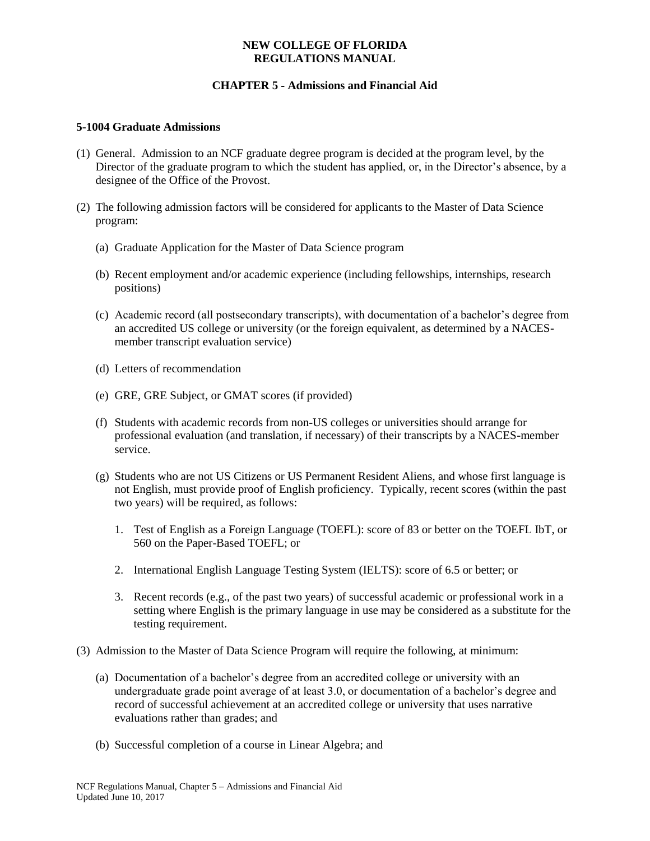### **NEW COLLEGE OF FLORIDA REGULATIONS MANUAL**

# **CHAPTER 5 - Admissions and Financial Aid**

#### **5-1004 Graduate Admissions**

- (1) General. Admission to an NCF graduate degree program is decided at the program level, by the Director of the graduate program to which the student has applied, or, in the Director's absence, by a designee of the Office of the Provost.
- (2) The following admission factors will be considered for applicants to the Master of Data Science program:
	- (a) Graduate Application for the Master of Data Science program
	- (b) Recent employment and/or academic experience (including fellowships, internships, research positions)
	- (c) Academic record (all postsecondary transcripts), with documentation of a bachelor's degree from an accredited US college or university (or the foreign equivalent, as determined by a NACESmember transcript evaluation service)
	- (d) Letters of recommendation
	- (e) GRE, GRE Subject, or GMAT scores (if provided)
	- (f) Students with academic records from non-US colleges or universities should arrange for professional evaluation (and translation, if necessary) of their transcripts by a NACES-member service.
	- (g) Students who are not US Citizens or US Permanent Resident Aliens, and whose first language is not English, must provide proof of English proficiency. Typically, recent scores (within the past two years) will be required, as follows:
		- 1. Test of English as a Foreign Language (TOEFL): score of 83 or better on the TOEFL IbT, or 560 on the Paper-Based TOEFL; or
		- 2. International English Language Testing System (IELTS): score of 6.5 or better; or
		- 3. Recent records (e.g., of the past two years) of successful academic or professional work in a setting where English is the primary language in use may be considered as a substitute for the testing requirement.
- (3) Admission to the Master of Data Science Program will require the following, at minimum:
	- (a) Documentation of a bachelor's degree from an accredited college or university with an undergraduate grade point average of at least 3.0, or documentation of a bachelor's degree and record of successful achievement at an accredited college or university that uses narrative evaluations rather than grades; and
	- (b) Successful completion of a course in Linear Algebra; and